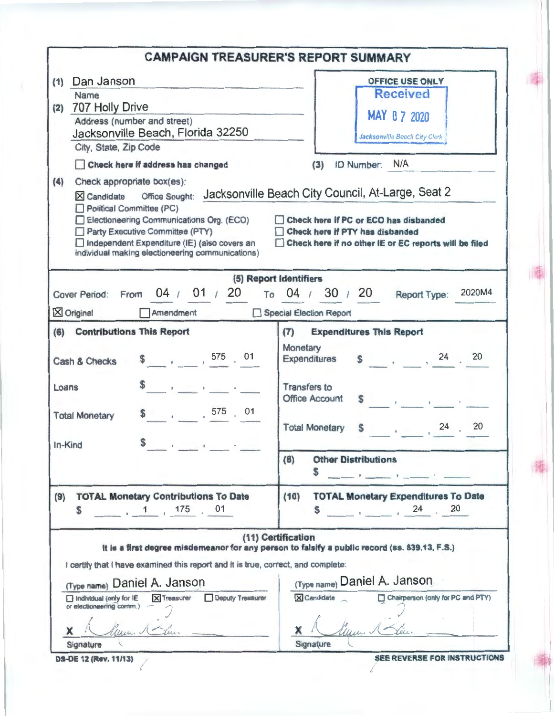|                                                                                                                                                                                                                                                                                                                                                                                                                                                                                   | <b>CAMPAIGN TREASURER'S REPORT SUMMARY</b>                                                                                                                                                                                                                                                                    |
|-----------------------------------------------------------------------------------------------------------------------------------------------------------------------------------------------------------------------------------------------------------------------------------------------------------------------------------------------------------------------------------------------------------------------------------------------------------------------------------|---------------------------------------------------------------------------------------------------------------------------------------------------------------------------------------------------------------------------------------------------------------------------------------------------------------|
| Dan Janson<br>(1)<br>Name<br>707 Holly Drive<br>(2)<br>Address (number and street)<br>Jacksonville Beach, Florida 32250<br>City, State, Zip Code<br>Check here if address has changed<br>Check appropriate box(es):<br>(4)<br><b>Office Sought:</b><br>X Candidate<br>Political Committee (PC)<br>Electioneering Communications Org. (ECO)<br>Party Executive Committee (PTY)<br>Independent Expenditure (IE) (also covers an<br>individual making electioneering communications) | OFFICE USE ONLY<br><b>Received</b><br>MAY 0 7 2020<br><b>Jacksonville Beach City Clerk</b><br>ID Number: N/A<br>(3)<br>Jacksonville Beach City Council, At-Large, Seat 2<br>Check here if PC or ECO has disbanded<br>Check here if PTY has disbanded<br>Check here if no other IE or EC reports will be filed |
| 04 / 01 / 20<br><b>Cover Period:</b><br>From<br>$X$ Original<br>Amendment                                                                                                                                                                                                                                                                                                                                                                                                         | (5) Report Identifiers<br>2020M4<br>To $04 / 30 / 20$<br>Report Type:<br>Special Election Report                                                                                                                                                                                                              |
| (6) Contributions This Report<br>$\frac{1}{2}$ , 575 01<br>Cash & Checks<br>$\mathbf{1}=\left[\begin{array}{cc} 1 & 0 \\ 0 & 0 \end{array}\right]$ , $\mathbf{1}=\left[\begin{array}{cc} 1 & 0 \\ 0 & 0 \end{array}\right]$<br>Loans<br>$\begin{array}{ccc} \text{S} & , & , & 575 \end{array}$ , 01<br><b>Total Monetary</b><br>In-Kind                                                                                                                                          | <b>Expenditures This Report</b><br>(7)<br>Monetary<br>$\frac{1}{2}$ , $\frac{24}{1}$ , $\frac{20}{1}$<br>Expenditures<br><b>Transfers to</b><br><b>Office Account</b><br>20<br>$\frac{1}{24}$<br><b>Total Monetary</b><br><b>Other Distributions</b><br>(8)                                                   |
| <b>TOTAL Monetary Contributions To Date</b><br>(9)<br>$1, 175$ 01<br>\$                                                                                                                                                                                                                                                                                                                                                                                                           | <b>TOTAL Monetary Expenditures To Date</b><br>(10)<br>$\frac{1}{20}$ , 24 , 20                                                                                                                                                                                                                                |
| I certify that I have examined this report and it is true, correct, and complete:<br>(Type name) Daniel A. Janson<br>X Treasurer Deputy Treasurer<br>Individual (only for IE<br>or electioneering comm.) -<br>X                                                                                                                                                                                                                                                                   | (11) Certification<br>It is a first degree misdemeanor for any person to falsify a public record (ss. 839.13, F.S.)<br>(Type name) Daniel A. Janson<br>Chairperson (only for PC and PTY)<br>X Candidate<br>X.                                                                                                 |
| Signature                                                                                                                                                                                                                                                                                                                                                                                                                                                                         | Signature                                                                                                                                                                                                                                                                                                     |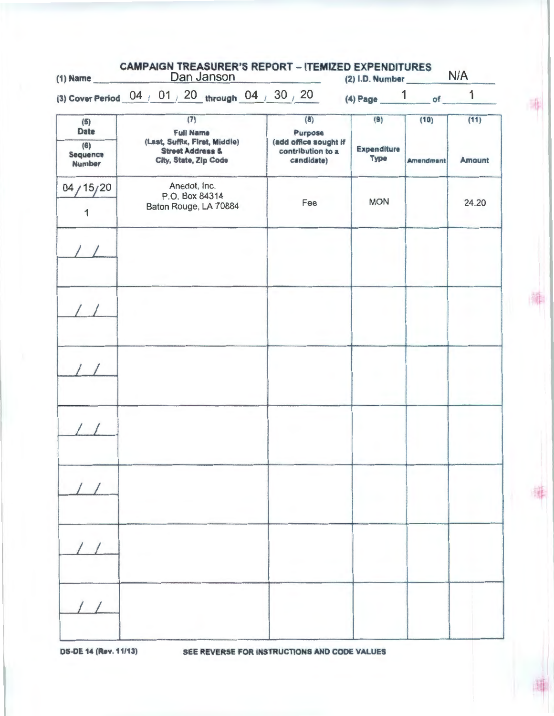| $(1)$ Name                | <b>CAMPAIGN TREASURER'S REPORT - ITEMIZED EXPENDITURES</b><br>Dan Janson |                                                                            | $(2)$ I.D. Number $N/A$    |                          |               |  |
|---------------------------|--------------------------------------------------------------------------|----------------------------------------------------------------------------|----------------------------|--------------------------|---------------|--|
|                           | (3) Cover Period 04 / 01 / 20 through 04 / 30 / 20 / 4) Page 1 of        |                                                                            |                            |                          | $\mathbf{1}$  |  |
| (5)<br><b>Date</b><br>(6) | (7)<br><b>Full Name</b><br>(Last, Suffix, First, Middle)                 | (8)<br>Purpose<br>(add office sought if<br>contribution to a<br>candidate) | (9)                        | (10)<br><b>Amendment</b> | (11)          |  |
| Sequence<br><b>Number</b> | <b>Street Address &amp;</b><br>City, State, Zip Code                     |                                                                            | Expenditure<br><b>Type</b> |                          | <b>Amount</b> |  |
| 04/15/20                  | Anedot, Inc.<br>P.O. Box 84314                                           |                                                                            |                            |                          |               |  |
| 1                         | Baton Rouge, LA 70884                                                    | Fee                                                                        | <b>MON</b>                 |                          | 24.20         |  |
|                           |                                                                          |                                                                            |                            |                          |               |  |
|                           |                                                                          |                                                                            |                            |                          |               |  |
|                           |                                                                          |                                                                            |                            |                          |               |  |
|                           |                                                                          |                                                                            |                            |                          |               |  |
|                           |                                                                          |                                                                            |                            |                          |               |  |
|                           |                                                                          |                                                                            |                            |                          |               |  |
|                           |                                                                          |                                                                            |                            |                          |               |  |
|                           |                                                                          |                                                                            |                            |                          |               |  |
|                           |                                                                          |                                                                            |                            |                          |               |  |
|                           |                                                                          |                                                                            |                            |                          |               |  |
|                           |                                                                          |                                                                            |                            |                          |               |  |
|                           |                                                                          |                                                                            |                            |                          |               |  |
|                           |                                                                          |                                                                            |                            |                          |               |  |

OS-DE 14 (Rev. 11/13) SEE REVERSE FOR INSTRUCTIONS AND CODE VALUES

 $\mathbb{R}^+$ I

毒